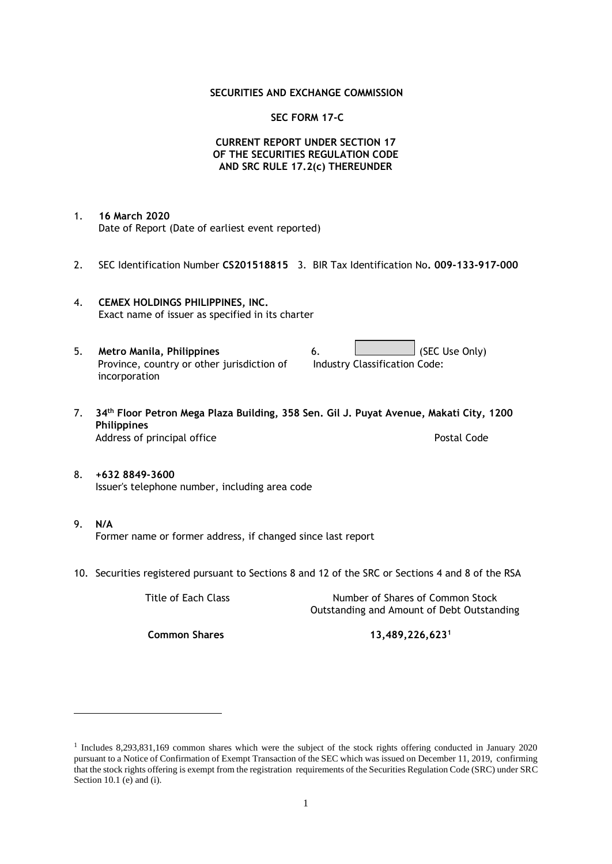## **SECURITIES AND EXCHANGE COMMISSION**

## **SEC FORM 17-C**

# **CURRENT REPORT UNDER SECTION 17 OF THE SECURITIES REGULATION CODE AND SRC RULE 17.2(c) THEREUNDER**

- 1. **16 March 2020** Date of Report (Date of earliest event reported)
- 2. SEC Identification Number **CS201518815** 3. BIR Tax Identification No**. 009-133-917-000**
- 4. **CEMEX HOLDINGS PHILIPPINES, INC.** Exact name of issuer as specified in its charter
- 5. **Metro Manila, Philippines** 6. **Consumers 6.** (SEC Use Only) Province, country or other jurisdiction of incorporation Industry Classification Code:
- 7. **34th Floor Petron Mega Plaza Building, 358 Sen. Gil J. Puyat Avenue, Makati City, 1200 Philippines** Address of principal office **Postal Code** Postal Code
- 8. **+632 8849-3600** Issuer's telephone number, including area code
- 9. **N/A** Former name or former address, if changed since last report
- 10. Securities registered pursuant to Sections 8 and 12 of the SRC or Sections 4 and 8 of the RSA

Title of Each Class Number of Shares of Common Stock Outstanding and Amount of Debt Outstanding

**Common Shares 13,489,226,623<sup>1</sup>**

<sup>1</sup> Includes 8,293,831,169 common shares which were the subject of the stock rights offering conducted in January 2020 pursuant to a Notice of Confirmation of Exempt Transaction of the SEC which was issued on December 11, 2019, confirming that the stock rights offering is exempt from the registration requirements of the Securities Regulation Code (SRC) under SRC Section 10.1 (e) and (i).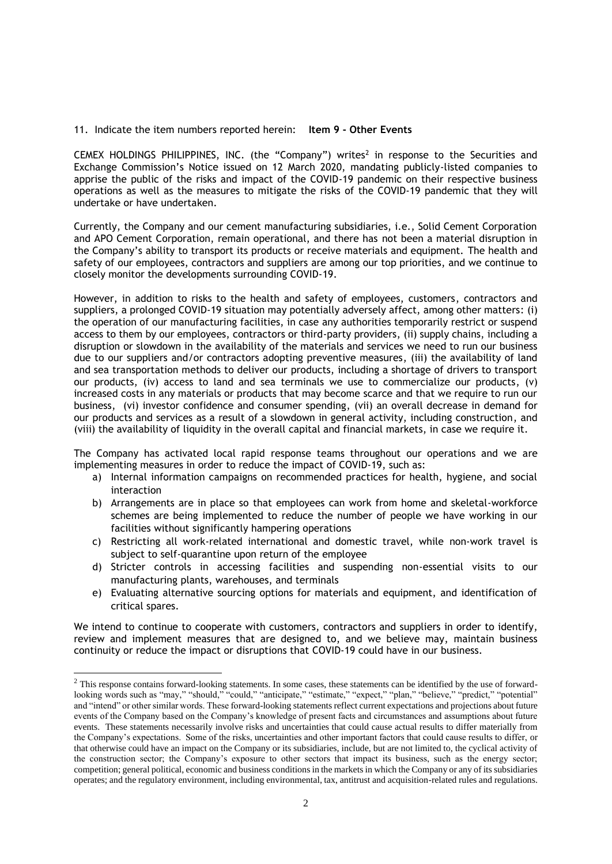#### 11. Indicate the item numbers reported herein: **Item 9 - Other Events**

CEMEX HOLDINGS PHILIPPINES, INC. (the "Company") writes<sup>2</sup> in response to the Securities and Exchange Commission's Notice issued on 12 March 2020, mandating publicly-listed companies to apprise the public of the risks and impact of the COVID-19 pandemic on their respective business operations as well as the measures to mitigate the risks of the COVID-19 pandemic that they will undertake or have undertaken.

Currently, the Company and our cement manufacturing subsidiaries, i.e., Solid Cement Corporation and APO Cement Corporation, remain operational, and there has not been a material disruption in the Company's ability to transport its products or receive materials and equipment. The health and safety of our employees, contractors and suppliers are among our top priorities, and we continue to closely monitor the developments surrounding COVID-19.

However, in addition to risks to the health and safety of employees, customers, contractors and suppliers, a prolonged COVID-19 situation may potentially adversely affect, among other matters: (i) the operation of our manufacturing facilities, in case any authorities temporarily restrict or suspend access to them by our employees, contractors or third-party providers, (ii) supply chains, including a disruption or slowdown in the availability of the materials and services we need to run our business due to our suppliers and/or contractors adopting preventive measures, (iii) the availability of land and sea transportation methods to deliver our products, including a shortage of drivers to transport our products, (iv) access to land and sea terminals we use to commercialize our products, (v) increased costs in any materials or products that may become scarce and that we require to run our business, (vi) investor confidence and consumer spending, (vii) an overall decrease in demand for our products and services as a result of a slowdown in general activity, including construction, and (viii) the availability of liquidity in the overall capital and financial markets, in case we require it.

The Company has activated local rapid response teams throughout our operations and we are implementing measures in order to reduce the impact of COVID-19, such as:

- a) Internal information campaigns on recommended practices for health, hygiene, and social interaction
- b) Arrangements are in place so that employees can work from home and skeletal-workforce schemes are being implemented to reduce the number of people we have working in our facilities without significantly hampering operations
- c) Restricting all work-related international and domestic travel, while non-work travel is subject to self-quarantine upon return of the employee
- d) Stricter controls in accessing facilities and suspending non-essential visits to our manufacturing plants, warehouses, and terminals
- e) Evaluating alternative sourcing options for materials and equipment, and identification of critical spares.

We intend to continue to cooperate with customers, contractors and suppliers in order to identify, review and implement measures that are designed to, and we believe may, maintain business continuity or reduce the impact or disruptions that COVID-19 could have in our business.

<sup>&</sup>lt;sup>2</sup> This response contains forward-looking statements. In some cases, these statements can be identified by the use of forwardlooking words such as "may," "should," "could," "anticipate," "estimate," "expect," "plan," "believe," "predict," "potential" and "intend" or other similar words. These forward-looking statements reflect current expectations and projections about future events of the Company based on the Company's knowledge of present facts and circumstances and assumptions about future events. These statements necessarily involve risks and uncertainties that could cause actual results to differ materially from the Company's expectations. Some of the risks, uncertainties and other important factors that could cause results to differ, or that otherwise could have an impact on the Company or its subsidiaries, include, but are not limited to, the cyclical activity of the construction sector; the Company's exposure to other sectors that impact its business, such as the energy sector; competition; general political, economic and business conditions in the markets in which the Company or any of its subsidiaries operates; and the regulatory environment, including environmental, tax, antitrust and acquisition-related rules and regulations.